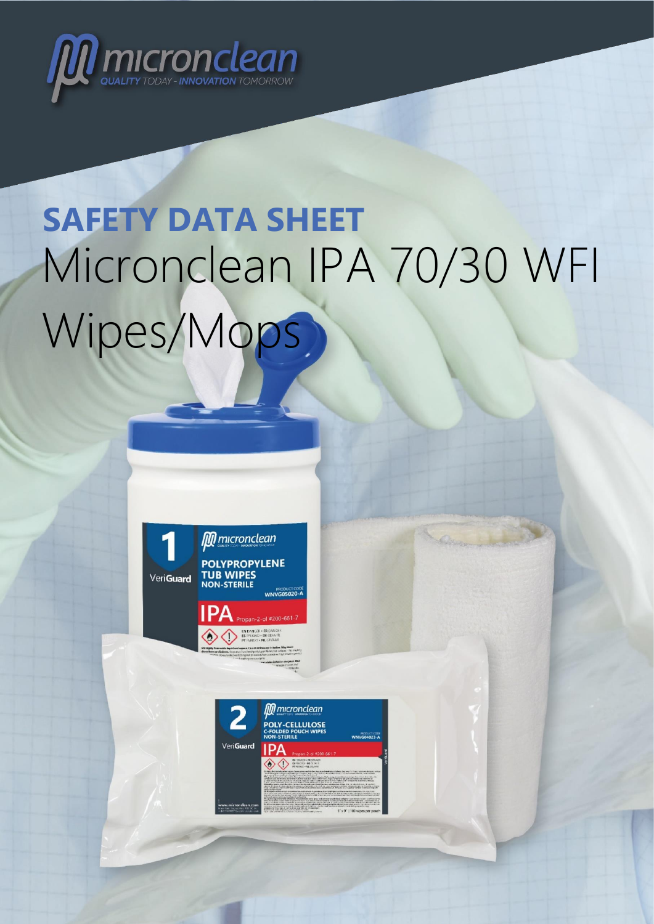

# **SAFETY DATA SHEET** Micronclean IPA 70/30 WFI Wipes/Mops



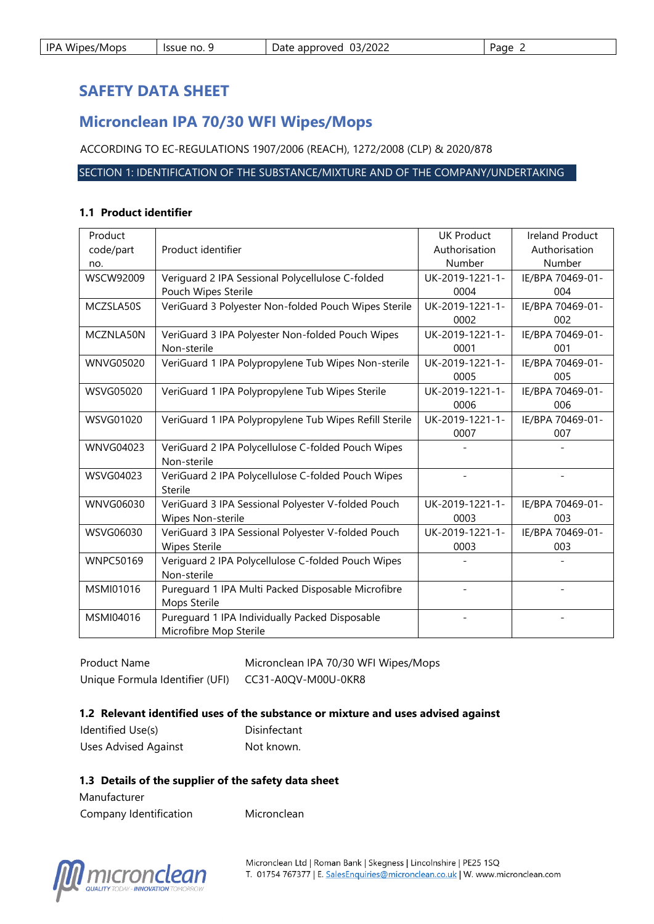|  | <b>IPA Wipes/Mops</b> | lssue no. 9 | Date approved 03/2022 | Page |
|--|-----------------------|-------------|-----------------------|------|
|--|-----------------------|-------------|-----------------------|------|

# **SAFETY DATA SHEET**

# **Micronclean IPA 70/30 WFI Wipes/Mops**

ACCORDING TO EC-REGULATIONS 1907/2006 (REACH), 1272/2008 (CLP) & 2020/878

#### SECTION 1: IDENTIFICATION OF THE SUBSTANCE/MIXTURE AND OF THE COMPANY/UNDERTAKING

#### **1.1 Product identifier**

| Product          |                                                        | <b>UK Product</b> | <b>Ireland Product</b> |
|------------------|--------------------------------------------------------|-------------------|------------------------|
| code/part        | Product identifier                                     | Authorisation     | Authorisation          |
| no.              |                                                        | Number            | Number                 |
| <b>WSCW92009</b> | Veriguard 2 IPA Sessional Polycellulose C-folded       | UK-2019-1221-1-   | IE/BPA 70469-01-       |
|                  | Pouch Wipes Sterile                                    | 0004              | 004                    |
| MCZSLA50S        | VeriGuard 3 Polyester Non-folded Pouch Wipes Sterile   | UK-2019-1221-1-   | IE/BPA 70469-01-       |
|                  |                                                        | 0002              | 002                    |
| MCZNLA50N        | VeriGuard 3 IPA Polyester Non-folded Pouch Wipes       | UK-2019-1221-1-   | IE/BPA 70469-01-       |
|                  | Non-sterile                                            | 0001              | 001                    |
| <b>WNVG05020</b> | VeriGuard 1 IPA Polypropylene Tub Wipes Non-sterile    | UK-2019-1221-1-   | IE/BPA 70469-01-       |
|                  |                                                        | 0005              | 005                    |
| WSVG05020        | VeriGuard 1 IPA Polypropylene Tub Wipes Sterile        | UK-2019-1221-1-   | IE/BPA 70469-01-       |
|                  |                                                        | 0006              | 006                    |
| WSVG01020        | VeriGuard 1 IPA Polypropylene Tub Wipes Refill Sterile | UK-2019-1221-1-   | IE/BPA 70469-01-       |
|                  |                                                        | 0007              | 007                    |
| <b>WNVG04023</b> | VeriGuard 2 IPA Polycellulose C-folded Pouch Wipes     |                   |                        |
|                  | Non-sterile                                            |                   |                        |
| WSVG04023        | VeriGuard 2 IPA Polycellulose C-folded Pouch Wipes     |                   |                        |
|                  | Sterile                                                |                   |                        |
| WNVG06030        | VeriGuard 3 IPA Sessional Polyester V-folded Pouch     | UK-2019-1221-1-   | IE/BPA 70469-01-       |
|                  | Wipes Non-sterile                                      | 0003              | 003                    |
| WSVG06030        | VeriGuard 3 IPA Sessional Polyester V-folded Pouch     | UK-2019-1221-1-   | IE/BPA 70469-01-       |
|                  | <b>Wipes Sterile</b>                                   | 0003              | 003                    |
| <b>WNPC50169</b> | Veriguard 2 IPA Polycellulose C-folded Pouch Wipes     |                   |                        |
|                  | Non-sterile                                            |                   |                        |
| MSMI01016        | Pureguard 1 IPA Multi Packed Disposable Microfibre     |                   |                        |
|                  | Mops Sterile                                           |                   |                        |
| MSMI04016        | Pureguard 1 IPA Individually Packed Disposable         |                   |                        |
|                  | Microfibre Mop Sterile                                 |                   |                        |

Product Name Micronclean IPA 70/30 WFI Wipes/Mops Unique Formula Identifier (UFI) CC31-A0QV-M00U-0KR8

#### **1.2 Relevant identified uses of the substance or mixture and uses advised against**

| Identified Use(s)           | Disinfectant |
|-----------------------------|--------------|
| <b>Uses Advised Against</b> | Not known.   |

#### **1.3 Details of the supplier of the safety data sheet**

Manufacturer Company Identification Micronclean

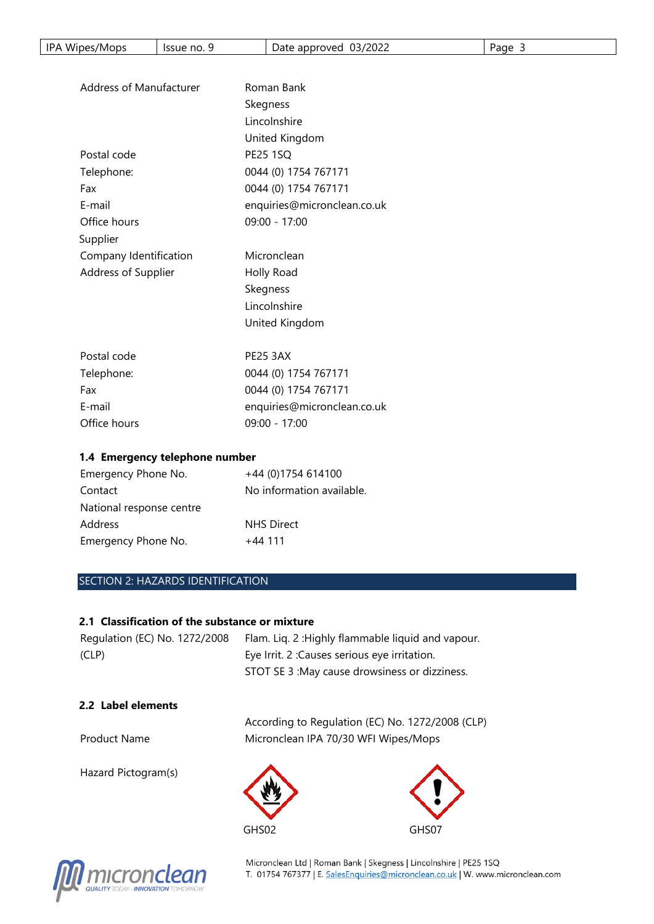| IPA Wipes/Mops<br>Issue no. 9     | Date approved 03/2022       | Page 3 |  |  |
|-----------------------------------|-----------------------------|--------|--|--|
|                                   |                             |        |  |  |
| Address of Manufacturer           | Roman Bank                  |        |  |  |
|                                   | Skegness                    |        |  |  |
|                                   | Lincolnshire                |        |  |  |
|                                   | United Kingdom              |        |  |  |
| Postal code                       | <b>PE25 1SQ</b>             |        |  |  |
| Telephone:                        | 0044 (0) 1754 767171        |        |  |  |
| Fax                               | 0044 (0) 1754 767171        |        |  |  |
| E-mail                            | enquiries@micronclean.co.uk |        |  |  |
| Office hours                      | 09:00 - 17:00               |        |  |  |
| Supplier                          |                             |        |  |  |
| Company Identification            | Micronclean                 |        |  |  |
| Address of Supplier               | Holly Road                  |        |  |  |
|                                   | Skegness                    |        |  |  |
|                                   | Lincolnshire                |        |  |  |
|                                   | United Kingdom              |        |  |  |
| Postal code                       | <b>PE25 3AX</b>             |        |  |  |
| Telephone:                        | 0044 (0) 1754 767171        |        |  |  |
| Fax                               | 0044 (0) 1754 767171        |        |  |  |
| E-mail                            | enquiries@micronclean.co.uk |        |  |  |
| Office hours                      | 09:00 - 17:00               |        |  |  |
| 1.4 Emergency telephone number    |                             |        |  |  |
| Emergency Phone No.               | +44 (0)1754 614100          |        |  |  |
| Contact                           | No information available.   |        |  |  |
| National response centre          |                             |        |  |  |
| Address                           | <b>NHS Direct</b>           |        |  |  |
| Emergency Phone No.               | $+44$ 111                   |        |  |  |
|                                   |                             |        |  |  |
| SECTION 2: HAZARDS IDENTIFICATION |                             |        |  |  |

| Regulation (EC) No. 1272/2008 | Flam. Lig. 2: Highly flammable liquid and vapour. |
|-------------------------------|---------------------------------------------------|
| (CLP)                         | Eye Irrit. 2: Causes serious eye irritation.      |
|                               | STOT SE 3 : May cause drowsiness or dizziness.    |

#### **2.2 Label elements**

According to Regulation (EC) No. 1272/2008 (CLP) Product Name Micronclean IPA 70/30 WFI Wipes/Mops

GHS02 GHS07

Hazard Pictogram(s)



Micronclean Ltd | Roman Bank | Skegness | Lincolnshire | PE25 1SQ<br>T. 01754 767377 | E. <u>SalesEnquiries@micronclean.co.uk</u> | W. www.micronclean.com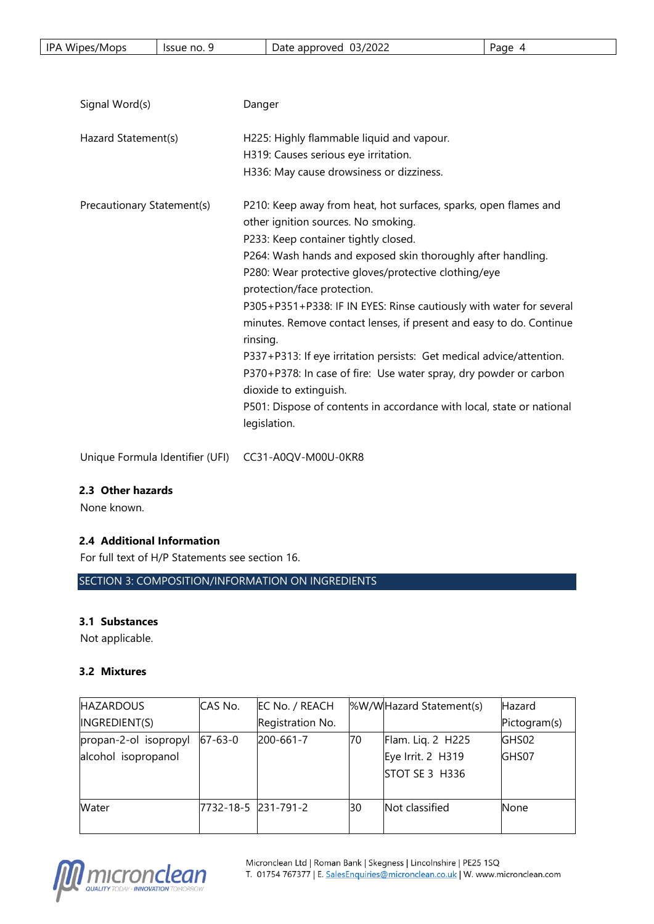| IP A<br>'2022<br>03/<br><br>Wipes/Mops<br>approved<br>Issue no.<br>Page<br>Date |
|---------------------------------------------------------------------------------|
|---------------------------------------------------------------------------------|

| Signal Word(s)             | Danger                                                                                                                                                                                                                                                                                                                                                                                                                                                                                                                                                                                                                                                                                                                           |
|----------------------------|----------------------------------------------------------------------------------------------------------------------------------------------------------------------------------------------------------------------------------------------------------------------------------------------------------------------------------------------------------------------------------------------------------------------------------------------------------------------------------------------------------------------------------------------------------------------------------------------------------------------------------------------------------------------------------------------------------------------------------|
| Hazard Statement(s)        | H225: Highly flammable liquid and vapour.<br>H319: Causes serious eye irritation.<br>H336: May cause drowsiness or dizziness.                                                                                                                                                                                                                                                                                                                                                                                                                                                                                                                                                                                                    |
| Precautionary Statement(s) | P210: Keep away from heat, hot surfaces, sparks, open flames and<br>other ignition sources. No smoking.<br>P233: Keep container tightly closed.<br>P264: Wash hands and exposed skin thoroughly after handling.<br>P280: Wear protective gloves/protective clothing/eye<br>protection/face protection.<br>P305+P351+P338: IF IN EYES: Rinse cautiously with water for several<br>minutes. Remove contact lenses, if present and easy to do. Continue<br>rinsing.<br>P337+P313: If eye irritation persists: Get medical advice/attention.<br>P370+P378: In case of fire: Use water spray, dry powder or carbon<br>dioxide to extinguish.<br>P501: Dispose of contents in accordance with local, state or national<br>legislation. |

Unique Formula Identifier (UFI) CC31-A0QV-M00U-0KR8

#### **2.3 Other hazards**

None known.

# **2.4 Additional Information**

For full text of H/P Statements see section 16.

SECTION 3: COMPOSITION/INFORMATION ON INGREDIENTS

# **3.1 Substances**

Not applicable.

#### **3.2 Mixtures**

| <b>HAZARDOUS</b>      | CAS No.             | EC No. / REACH   |    | %W/WHazard Statement(s) | <b>Hazard</b> |
|-----------------------|---------------------|------------------|----|-------------------------|---------------|
| INGREDIENT(S)         |                     | Registration No. |    |                         | Pictogram(s)  |
| propan-2-ol isopropyl | $67 - 63 - 0$       | 200-661-7        | 70 | Flam. Lig. 2 H225       | GHS02         |
| alcohol isopropanol   |                     |                  |    | Eye Irrit. 2 H319       | GHS07         |
|                       |                     |                  |    | STOT SE 3 H336          |               |
|                       |                     |                  |    |                         |               |
| Water                 | 7732-18-5 231-791-2 |                  | 30 | Not classified          | <b>None</b>   |
|                       |                     |                  |    |                         |               |

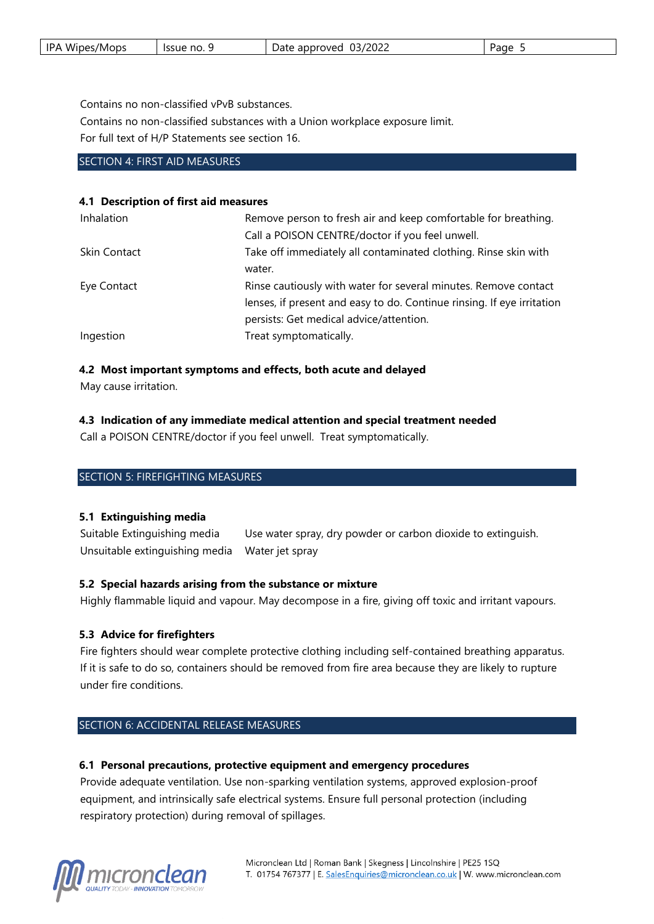| ID A<br>Wipes/Mops | lssue no. S | /2022<br>13.<br>approved<br>Date<br>. | Page |
|--------------------|-------------|---------------------------------------|------|
|--------------------|-------------|---------------------------------------|------|

Contains no non-classified vPvB substances.

Contains no non-classified substances with a Union workplace exposure limit.

For full text of H/P Statements see section 16.

#### SECTION 4: FIRST AID MEASURES

#### **4.1 Description of first aid measures**

| Remove person to fresh air and keep comfortable for breathing.         |
|------------------------------------------------------------------------|
|                                                                        |
| Take off immediately all contaminated clothing. Rinse skin with        |
|                                                                        |
| Rinse cautiously with water for several minutes. Remove contact        |
| lenses, if present and easy to do. Continue rinsing. If eye irritation |
|                                                                        |
|                                                                        |
|                                                                        |

# **4.2 Most important symptoms and effects, both acute and delayed**

May cause irritation.

#### **4.3 Indication of any immediate medical attention and special treatment needed**

Call a POISON CENTRE/doctor if you feel unwell. Treat symptomatically.

#### SECTION 5: FIREFIGHTING MEASURES

#### **5.1 Extinguishing media**

Suitable Extinguishing media Use water spray, dry powder or carbon dioxide to extinguish. Unsuitable extinguishing media Water jet spray

#### **5.2 Special hazards arising from the substance or mixture**

Highly flammable liquid and vapour. May decompose in a fire, giving off toxic and irritant vapours.

#### **5.3 Advice for firefighters**

Fire fighters should wear complete protective clothing including self-contained breathing apparatus. If it is safe to do so, containers should be removed from fire area because they are likely to rupture under fire conditions.

# SECTION 6: ACCIDENTAL RELEASE MEASURES

#### **6.1 Personal precautions, protective equipment and emergency procedures**

Provide adequate ventilation. Use non-sparking ventilation systems, approved explosion-proof equipment, and intrinsically safe electrical systems. Ensure full personal protection (including respiratory protection) during removal of spillages.

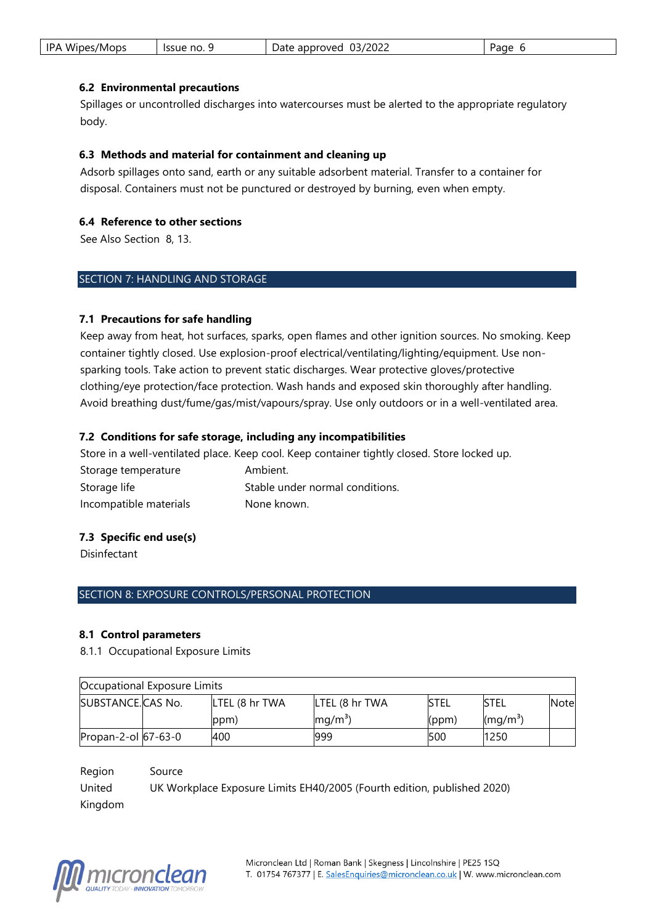| IPA Wipes/Mops | Issue no. | 03/2022<br>Date approved | Page |
|----------------|-----------|--------------------------|------|
|----------------|-----------|--------------------------|------|

#### **6.2 Environmental precautions**

Spillages or uncontrolled discharges into watercourses must be alerted to the appropriate regulatory body.

#### **6.3 Methods and material for containment and cleaning up**

Adsorb spillages onto sand, earth or any suitable adsorbent material. Transfer to a container for disposal. Containers must not be punctured or destroyed by burning, even when empty.

#### **6.4 Reference to other sections**

See Also Section 8, 13.

#### SECTION 7: HANDLING AND STORAGE

#### **7.1 Precautions for safe handling**

Keep away from heat, hot surfaces, sparks, open flames and other ignition sources. No smoking. Keep container tightly closed. Use explosion-proof electrical/ventilating/lighting/equipment. Use nonsparking tools. Take action to prevent static discharges. Wear protective gloves/protective clothing/eye protection/face protection. Wash hands and exposed skin thoroughly after handling. Avoid breathing dust/fume/gas/mist/vapours/spray. Use only outdoors or in a well-ventilated area.

#### **7.2 Conditions for safe storage, including any incompatibilities**

Store in a well-ventilated place. Keep cool. Keep container tightly closed. Store locked up. Storage temperature **Ambient.** Storage life Stable under normal conditions. Incompatible materials None known.

#### **7.3 Specific end use(s)**

Disinfectant

#### SECTION 8: EXPOSURE CONTROLS/PERSONAL PROTECTION

#### **8.1 Control parameters**

8.1.1 Occupational Exposure Limits

|                     | Occupational Exposure Limits |                |                   |       |                               |              |
|---------------------|------------------------------|----------------|-------------------|-------|-------------------------------|--------------|
| SUBSTANCE.CAS No.   |                              | LTEL (8 hr TWA | LTEL (8 hr TWA    | istel | <b>ISTEL</b>                  | <b>Notel</b> |
|                     |                              | ppm)           | mq/m <sup>3</sup> | (ppm) | $\left(\frac{mq}{m^3}\right)$ |              |
| Propan-2-ol 67-63-0 |                              | 400            | 999               | 500   | 1250                          |              |

Region Source United Kingdom UK Workplace Exposure Limits EH40/2005 (Fourth edition, published 2020)

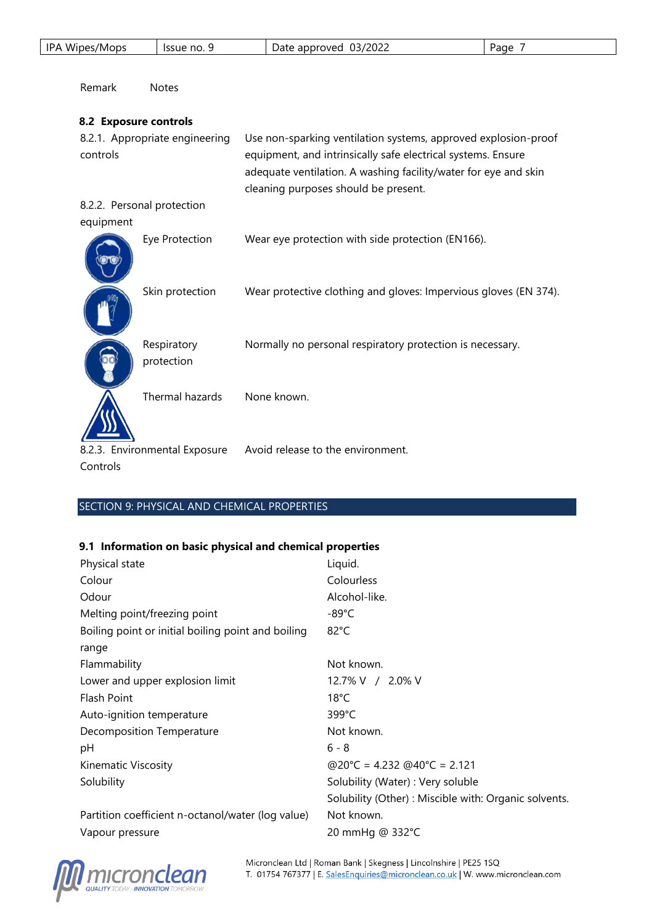| IPA Wipes/Mops        | Issue no. 9                    | Date approved 03/2022                                                                                                                                                                                                                     | Page 7 |
|-----------------------|--------------------------------|-------------------------------------------------------------------------------------------------------------------------------------------------------------------------------------------------------------------------------------------|--------|
| Remark                | <b>Notes</b>                   |                                                                                                                                                                                                                                           |        |
| 8.2 Exposure controls |                                |                                                                                                                                                                                                                                           |        |
| controls              | 8.2.1. Appropriate engineering | Use non-sparking ventilation systems, approved explosion-proof<br>equipment, and intrinsically safe electrical systems. Ensure<br>adequate ventilation. A washing facility/water for eye and skin<br>cleaning purposes should be present. |        |
|                       | 8.2.2. Personal protection     |                                                                                                                                                                                                                                           |        |
| equipment             |                                |                                                                                                                                                                                                                                           |        |
|                       | Eye Protection                 | Wear eye protection with side protection (EN166).                                                                                                                                                                                         |        |
|                       | Skin protection                | Wear protective clothing and gloves: Impervious gloves (EN 374).                                                                                                                                                                          |        |
|                       | Respiratory<br>protection      | Normally no personal respiratory protection is necessary.                                                                                                                                                                                 |        |
|                       | Thermal hazards                | None known.                                                                                                                                                                                                                               |        |
|                       | 8.2.3. Environmental Exposure  | Avoid release to the environment.                                                                                                                                                                                                         |        |

Controls

# SECTION 9: PHYSICAL AND CHEMICAL PROPERTIES

# **9.1 Information on basic physical and chemical properties**

| Physical state                                     | Liquid.                                              |
|----------------------------------------------------|------------------------------------------------------|
| Colour                                             | Colourless                                           |
| Odour                                              | Alcohol-like.                                        |
| Melting point/freezing point                       | -89°C                                                |
| Boiling point or initial boiling point and boiling | $82^{\circ}$ C                                       |
| range                                              |                                                      |
| Flammability                                       | Not known.                                           |
| Lower and upper explosion limit                    | 12.7% V / 2.0% V                                     |
| Flash Point                                        | $18^{\circ}$ C                                       |
| Auto-ignition temperature                          | 399°C                                                |
| <b>Decomposition Temperature</b>                   | Not known.                                           |
| рH                                                 | $6 - 8$                                              |
| Kinematic Viscosity                                | @20°C = 4.232 @40°C = 2.121                          |
| Solubility                                         | Solubility (Water) : Very soluble                    |
|                                                    | Solubility (Other): Miscible with: Organic solvents. |
| Partition coefficient n-octanol/water (log value)  | Not known.                                           |
| Vapour pressure                                    | 20 mmHg @ 332°C                                      |

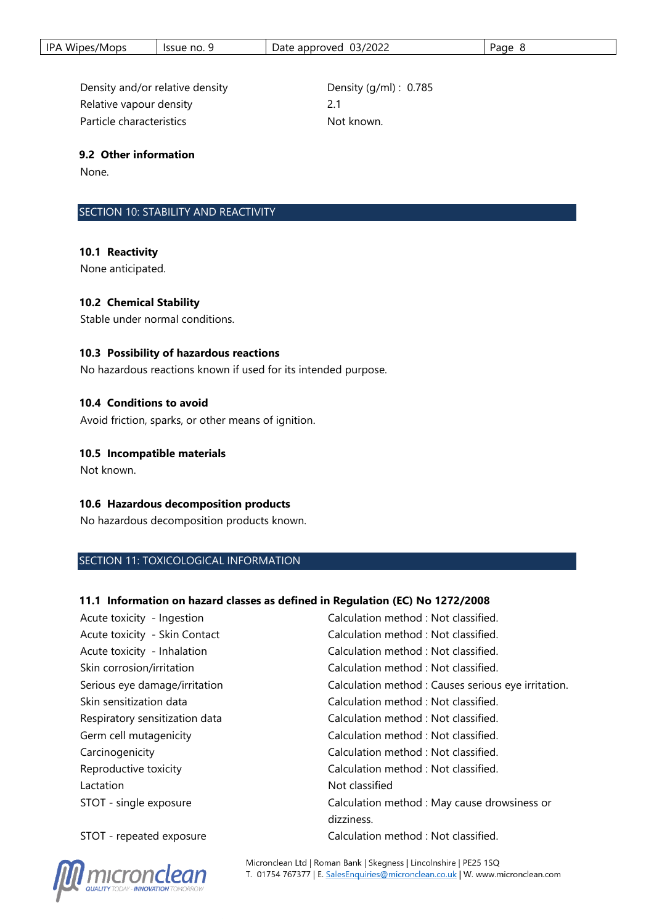| IPA Wipes/Mops | Issue no. | 03/2022<br>Date approved | Page |
|----------------|-----------|--------------------------|------|
|----------------|-----------|--------------------------|------|

Density and/or relative density **Density** Density (g/ml) : 0.785 Relative vapour density **2.1** Particle characteristics Not known.

#### **9.2 Other information**

None.

#### SECTION 10: STABILITY AND REACTIVITY

#### **10.1 Reactivity**

None anticipated.

#### **10.2 Chemical Stability**

Stable under normal conditions.

#### **10.3 Possibility of hazardous reactions**

No hazardous reactions known if used for its intended purpose.

#### **10.4 Conditions to avoid**

Avoid friction, sparks, or other means of ignition.

#### **10.5 Incompatible materials**

Not known.

#### **10.6 Hazardous decomposition products**

No hazardous decomposition products known.

#### SECTION 11: TOXICOLOGICAL INFORMATION

#### **11.1 Information on hazard classes as defined in Regulation (EC) No 1272/2008**

| Acute toxicity - Ingestion     | Calculation method : Not classified.                |
|--------------------------------|-----------------------------------------------------|
| Acute toxicity - Skin Contact  | Calculation method : Not classified.                |
| Acute toxicity - Inhalation    | Calculation method: Not classified.                 |
| Skin corrosion/irritation      | Calculation method: Not classified.                 |
| Serious eye damage/irritation  | Calculation method : Causes serious eye irritation. |
| Skin sensitization data        | Calculation method : Not classified.                |
| Respiratory sensitization data | Calculation method: Not classified.                 |
| Germ cell mutagenicity         | Calculation method : Not classified.                |
| Carcinogenicity                | Calculation method: Not classified.                 |
| Reproductive toxicity          | Calculation method : Not classified.                |
| Lactation                      | Not classified                                      |
| STOT - single exposure         | Calculation method : May cause drowsiness or        |
|                                | dizziness.                                          |
| STOT - repeated exposure       | Calculation method : Not classified.                |

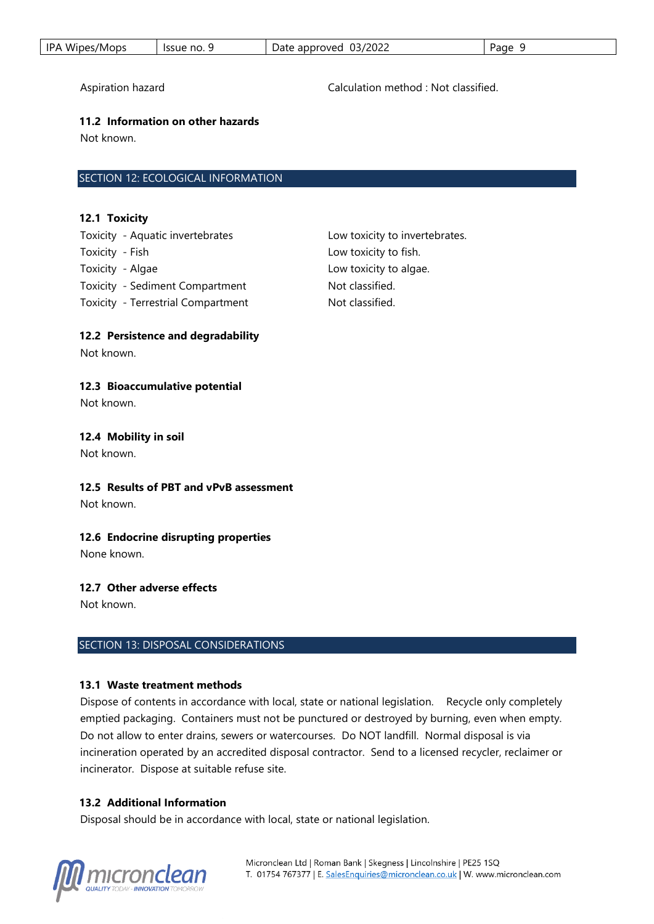| Wipes/Mops<br>IPA | Tssue no. 9 | 03/2022<br>approved<br>Date | Page |
|-------------------|-------------|-----------------------------|------|
|-------------------|-------------|-----------------------------|------|

Aspiration hazard Calculation method : Not classified.

#### **11.2 Information on other hazards**

Not known.

## SECTION 12: ECOLOGICAL INFORMATION

#### **12.1 Toxicity**

Toxicity - Aquatic invertebrates Low toxicity to invertebrates. Toxicity - Fish Low toxicity to fish. Toxicity - Algae **Low toxicity** to algae. Toxicity - Sediment Compartment Not classified. Toxicity - Terrestrial Compartment Not classified.

## **12.2 Persistence and degradability**

Not known.

## **12.3 Bioaccumulative potential**

Not known.

#### **12.4 Mobility in soil**

Not known.

# **12.5 Results of PBT and vPvB assessment**

Not known.

#### **12.6 Endocrine disrupting properties**

None known.

#### **12.7 Other adverse effects**

Not known.

#### SECTION 13: DISPOSAL CONSIDERATIONS

#### **13.1 Waste treatment methods**

Dispose of contents in accordance with local, state or national legislation. Recycle only completely emptied packaging. Containers must not be punctured or destroyed by burning, even when empty. Do not allow to enter drains, sewers or watercourses. Do NOT landfill. Normal disposal is via incineration operated by an accredited disposal contractor. Send to a licensed recycler, reclaimer or incinerator. Dispose at suitable refuse site.

#### **13.2 Additional Information**

Disposal should be in accordance with local, state or national legislation.

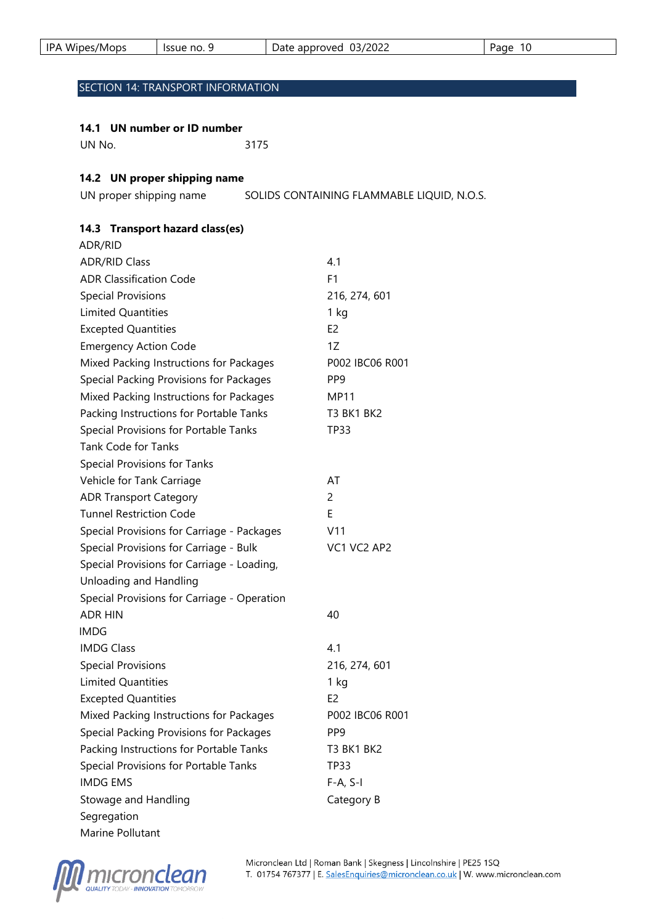| IPA Wipes/Mops | - Issue no. 5 | 03/2022<br>Date approved | 10<br>Page |
|----------------|---------------|--------------------------|------------|
|                |               |                          |            |

# SECTION 14: TRANSPORT INFORMATION

#### **14.1 UN number or ID number**

UN No. 3175

## **14.2 UN proper shipping name**

UN proper shipping name SOLIDS CONTAINING FLAMMABLE LIQUID, N.O.S.

# **14.3 Transport hazard class(es)**

| ADR/RID                                     |                 |
|---------------------------------------------|-----------------|
| <b>ADR/RID Class</b>                        | 4.1             |
| <b>ADR Classification Code</b>              | F <sub>1</sub>  |
| <b>Special Provisions</b>                   | 216, 274, 601   |
| Limited Quantities                          | $1$ kg          |
| <b>Excepted Quantities</b>                  | E <sub>2</sub>  |
| <b>Emergency Action Code</b>                | 1Z              |
| Mixed Packing Instructions for Packages     | P002 IBC06 R001 |
| Special Packing Provisions for Packages     | PP9             |
| Mixed Packing Instructions for Packages     | MP11            |
| Packing Instructions for Portable Tanks     | T3 BK1 BK2      |
| Special Provisions for Portable Tanks       | TP33            |
| <b>Tank Code for Tanks</b>                  |                 |
| <b>Special Provisions for Tanks</b>         |                 |
| Vehicle for Tank Carriage                   | AT              |
| <b>ADR Transport Category</b>               | 2               |
| <b>Tunnel Restriction Code</b>              | E               |
| Special Provisions for Carriage - Packages  | V11             |
| Special Provisions for Carriage - Bulk      | VC1 VC2 AP2     |
| Special Provisions for Carriage - Loading,  |                 |
| Unloading and Handling                      |                 |
| Special Provisions for Carriage - Operation |                 |
| <b>ADR HIN</b>                              | 40              |
| <b>IMDG</b>                                 |                 |
| <b>IMDG Class</b>                           | 4.1             |
| <b>Special Provisions</b>                   | 216, 274, 601   |
| <b>Limited Quantities</b>                   | 1 kg            |
| <b>Excepted Quantities</b>                  | E <sub>2</sub>  |
| Mixed Packing Instructions for Packages     | P002 IBC06 R001 |
| Special Packing Provisions for Packages     | PP9             |
| Packing Instructions for Portable Tanks     | T3 BK1 BK2      |
| Special Provisions for Portable Tanks       | <b>TP33</b>     |
| <b>IMDG EMS</b>                             | $F-A, S-I$      |
| Stowage and Handling                        | Category B      |
| Segregation                                 |                 |
| Marine Pollutant                            |                 |

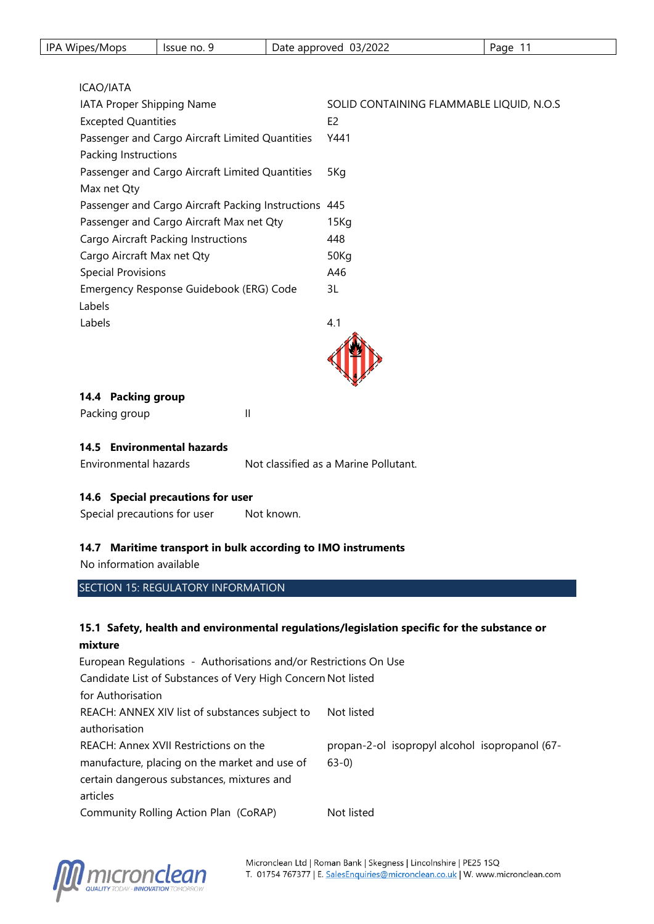| <b>IPA</b><br>Wipes/Mops | lssue no. 9 | 03/2022<br>: approved<br>Date | Page |
|--------------------------|-------------|-------------------------------|------|
|--------------------------|-------------|-------------------------------|------|

## ICAO/IATA

| IATA Proper Shipping Name                             | SOLID CONTAINING FLAMMABLE LIQUID, N.O.S |
|-------------------------------------------------------|------------------------------------------|
| <b>Excepted Quantities</b>                            | E <sub>2</sub>                           |
| Passenger and Cargo Aircraft Limited Quantities       | Y441                                     |
| Packing Instructions                                  |                                          |
| Passenger and Cargo Aircraft Limited Quantities       | 5Kg                                      |
| Max net Qty                                           |                                          |
| Passenger and Cargo Aircraft Packing Instructions 445 |                                          |
| Passenger and Cargo Aircraft Max net Qty              | 15 Kg                                    |
| <b>Cargo Aircraft Packing Instructions</b>            | 448                                      |
| Cargo Aircraft Max net Qty                            | 50Kg                                     |
| <b>Special Provisions</b>                             | A46                                      |
| Emergency Response Guidebook (ERG) Code               | 3L                                       |
| Labels                                                |                                          |
| Labels                                                | 4.1                                      |
|                                                       |                                          |

## **14.4 Packing group**

| Packing group |  |  |  |
|---------------|--|--|--|
|---------------|--|--|--|

#### **14.5 Environmental hazards**

Environmental hazards Not classified as a Marine Pollutant.

## **14.6 Special precautions for user**

Special precautions for user Mot known.

#### **14.7 Maritime transport in bulk according to IMO instruments**

No information available

# SECTION 15: REGULATORY INFORMATION

## **15.1 Safety, health and environmental regulations/legislation specific for the substance or mixture**

| European Regulations - Authorisations and/or Restrictions On Use |                                                |
|------------------------------------------------------------------|------------------------------------------------|
| Candidate List of Substances of Very High Concern Not listed     |                                                |
| for Authorisation                                                |                                                |
| REACH: ANNEX XIV list of substances subject to                   | Not listed                                     |
| authorisation                                                    |                                                |
| REACH: Annex XVII Restrictions on the                            | propan-2-ol isopropyl alcohol isopropanol (67- |
| manufacture, placing on the market and use of                    | $63-0$                                         |
| certain dangerous substances, mixtures and                       |                                                |
| articles                                                         |                                                |
| Community Rolling Action Plan (CoRAP)                            | Not listed                                     |

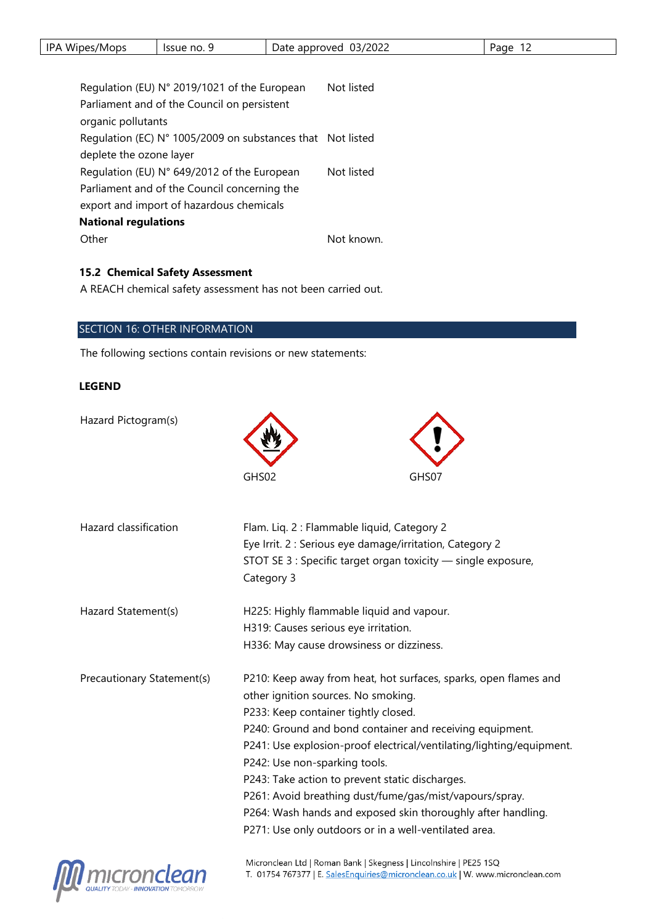|  | <b>IPA</b><br>Wipes/Mops | Issue no. | 03/2022<br>approved<br>Date | age |
|--|--------------------------|-----------|-----------------------------|-----|
|--|--------------------------|-----------|-----------------------------|-----|

| Regulation (EU) N° 2019/1021 of the European               | Not listed |  |
|------------------------------------------------------------|------------|--|
| Parliament and of the Council on persistent                |            |  |
| organic pollutants                                         |            |  |
| Regulation (EC) N° 1005/2009 on substances that Not listed |            |  |
| deplete the ozone layer                                    |            |  |
| Regulation (EU) N° 649/2012 of the European                | Not listed |  |
| Parliament and of the Council concerning the               |            |  |
| export and import of hazardous chemicals                   |            |  |
| <b>National regulations</b>                                |            |  |
| Other                                                      | Not known. |  |
|                                                            |            |  |

## **15.2 Chemical Safety Assessment**

A REACH chemical safety assessment has not been carried out.

#### SECTION 16: OTHER INFORMATION

The following sections contain revisions or new statements:

#### **LEGEND**

Hazard Pictogram(s) GHS02 Hazard classification Flam. Liq. 2 : Flammable liquid, Category 2 Eye Irrit. 2 : Serious eye damage/irritation, Category 2 STOT SE 3 : Specific target organ toxicity — single exposure, Category 3 Hazard Statement(s) H225: Highly flammable liquid and vapour. H319: Causes serious eye irritation. H336: May cause drowsiness or dizziness. Precautionary Statement(s) P210: Keep away from heat, hot surfaces, sparks, open flames and other ignition sources. No smoking. P233: Keep container tightly closed. P240: Ground and bond container and receiving equipment. P241: Use explosion-proof electrical/ventilating/lighting/equipment. P242: Use non-sparking tools. P243: Take action to prevent static discharges. P261: Avoid breathing dust/fume/gas/mist/vapours/spray. P264: Wash hands and exposed skin thoroughly after handling. P271: Use only outdoors or in a well-ventilated area.

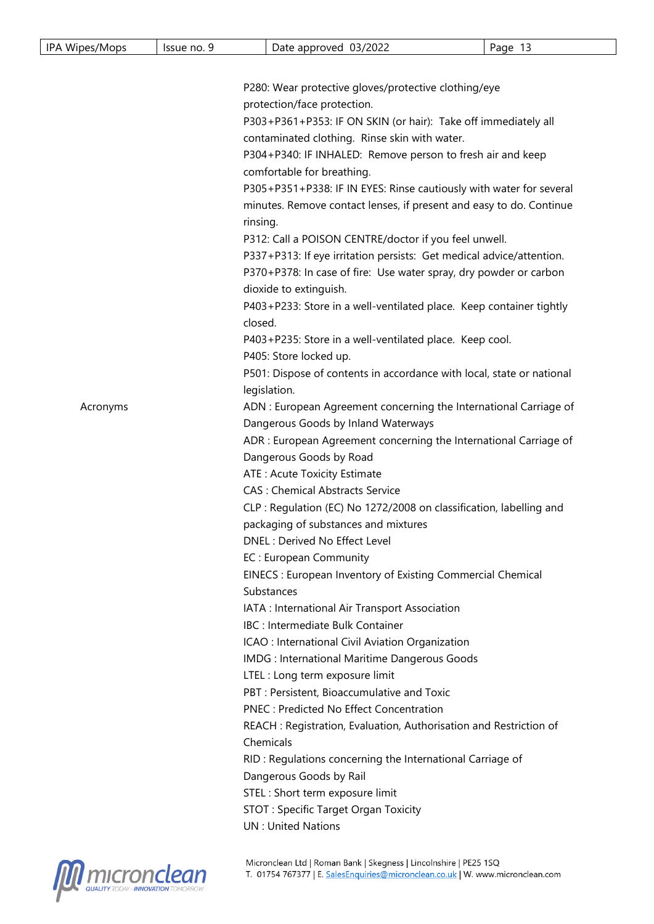| IPA Wipes/Mops                                                                                           | Issue no. 9                                                                                                                      |                                                                                                                                                                                                                                        | Date approved 03/2022                                             | Page 13 |  |  |
|----------------------------------------------------------------------------------------------------------|----------------------------------------------------------------------------------------------------------------------------------|----------------------------------------------------------------------------------------------------------------------------------------------------------------------------------------------------------------------------------------|-------------------------------------------------------------------|---------|--|--|
|                                                                                                          |                                                                                                                                  |                                                                                                                                                                                                                                        |                                                                   |         |  |  |
|                                                                                                          |                                                                                                                                  |                                                                                                                                                                                                                                        |                                                                   |         |  |  |
|                                                                                                          |                                                                                                                                  | P280: Wear protective gloves/protective clothing/eye<br>protection/face protection.                                                                                                                                                    |                                                                   |         |  |  |
|                                                                                                          |                                                                                                                                  | P303+P361+P353: IF ON SKIN (or hair): Take off immediately all                                                                                                                                                                         |                                                                   |         |  |  |
|                                                                                                          |                                                                                                                                  | contaminated clothing. Rinse skin with water.                                                                                                                                                                                          |                                                                   |         |  |  |
|                                                                                                          |                                                                                                                                  | P304+P340: IF INHALED: Remove person to fresh air and keep<br>comfortable for breathing.<br>P305+P351+P338: IF IN EYES: Rinse cautiously with water for several<br>minutes. Remove contact lenses, if present and easy to do. Continue |                                                                   |         |  |  |
|                                                                                                          |                                                                                                                                  |                                                                                                                                                                                                                                        |                                                                   |         |  |  |
|                                                                                                          |                                                                                                                                  |                                                                                                                                                                                                                                        |                                                                   |         |  |  |
|                                                                                                          |                                                                                                                                  |                                                                                                                                                                                                                                        |                                                                   |         |  |  |
|                                                                                                          |                                                                                                                                  |                                                                                                                                                                                                                                        |                                                                   |         |  |  |
|                                                                                                          | rinsing.                                                                                                                         |                                                                                                                                                                                                                                        |                                                                   |         |  |  |
|                                                                                                          |                                                                                                                                  | P312: Call a POISON CENTRE/doctor if you feel unwell.<br>P337+P313: If eye irritation persists: Get medical advice/attention.<br>P370+P378: In case of fire: Use water spray, dry powder or carbon<br>dioxide to extinguish.           |                                                                   |         |  |  |
|                                                                                                          |                                                                                                                                  |                                                                                                                                                                                                                                        |                                                                   |         |  |  |
|                                                                                                          |                                                                                                                                  |                                                                                                                                                                                                                                        |                                                                   |         |  |  |
|                                                                                                          |                                                                                                                                  |                                                                                                                                                                                                                                        |                                                                   |         |  |  |
|                                                                                                          | P403+P233: Store in a well-ventilated place. Keep container tightly<br>closed.                                                   |                                                                                                                                                                                                                                        |                                                                   |         |  |  |
|                                                                                                          |                                                                                                                                  |                                                                                                                                                                                                                                        |                                                                   |         |  |  |
|                                                                                                          |                                                                                                                                  | P403+P235: Store in a well-ventilated place. Keep cool.<br>P405: Store locked up.<br>P501: Dispose of contents in accordance with local, state or national                                                                             |                                                                   |         |  |  |
|                                                                                                          |                                                                                                                                  |                                                                                                                                                                                                                                        |                                                                   |         |  |  |
|                                                                                                          |                                                                                                                                  |                                                                                                                                                                                                                                        |                                                                   |         |  |  |
|                                                                                                          | legislation.                                                                                                                     |                                                                                                                                                                                                                                        |                                                                   |         |  |  |
| Acronyms                                                                                                 |                                                                                                                                  | ADN : European Agreement concerning the International Carriage of                                                                                                                                                                      |                                                                   |         |  |  |
| Dangerous Goods by Inland Waterways<br>ADR : European Agreement concerning the International Carriage of |                                                                                                                                  |                                                                                                                                                                                                                                        |                                                                   |         |  |  |
|                                                                                                          |                                                                                                                                  |                                                                                                                                                                                                                                        | Dangerous Goods by Road                                           |         |  |  |
|                                                                                                          |                                                                                                                                  |                                                                                                                                                                                                                                        | ATE: Acute Toxicity Estimate                                      |         |  |  |
|                                                                                                          |                                                                                                                                  |                                                                                                                                                                                                                                        | <b>CAS: Chemical Abstracts Service</b>                            |         |  |  |
|                                                                                                          |                                                                                                                                  | CLP : Regulation (EC) No 1272/2008 on classification, labelling and                                                                                                                                                                    |                                                                   |         |  |  |
|                                                                                                          |                                                                                                                                  |                                                                                                                                                                                                                                        | packaging of substances and mixtures                              |         |  |  |
|                                                                                                          |                                                                                                                                  |                                                                                                                                                                                                                                        | DNEL: Derived No Effect Level                                     |         |  |  |
|                                                                                                          |                                                                                                                                  |                                                                                                                                                                                                                                        | EC: European Community                                            |         |  |  |
|                                                                                                          |                                                                                                                                  |                                                                                                                                                                                                                                        | EINECS: European Inventory of Existing Commercial Chemical        |         |  |  |
|                                                                                                          |                                                                                                                                  |                                                                                                                                                                                                                                        | Substances                                                        |         |  |  |
|                                                                                                          |                                                                                                                                  |                                                                                                                                                                                                                                        | IATA : International Air Transport Association                    |         |  |  |
|                                                                                                          |                                                                                                                                  |                                                                                                                                                                                                                                        | IBC : Intermediate Bulk Container                                 |         |  |  |
|                                                                                                          |                                                                                                                                  |                                                                                                                                                                                                                                        | ICAO : International Civil Aviation Organization                  |         |  |  |
|                                                                                                          |                                                                                                                                  |                                                                                                                                                                                                                                        | IMDG : International Maritime Dangerous Goods                     |         |  |  |
|                                                                                                          |                                                                                                                                  |                                                                                                                                                                                                                                        | LTEL : Long term exposure limit                                   |         |  |  |
|                                                                                                          |                                                                                                                                  |                                                                                                                                                                                                                                        | PBT : Persistent, Bioaccumulative and Toxic                       |         |  |  |
|                                                                                                          |                                                                                                                                  |                                                                                                                                                                                                                                        | <b>PNEC: Predicted No Effect Concentration</b>                    |         |  |  |
|                                                                                                          |                                                                                                                                  |                                                                                                                                                                                                                                        |                                                                   |         |  |  |
|                                                                                                          | REACH : Registration, Evaluation, Authorisation and Restriction of<br>Chemicals                                                  |                                                                                                                                                                                                                                        |                                                                   |         |  |  |
|                                                                                                          |                                                                                                                                  |                                                                                                                                                                                                                                        | RID: Regulations concerning the International Carriage of         |         |  |  |
|                                                                                                          | Dangerous Goods by Rail<br>STEL : Short term exposure limit<br>STOT: Specific Target Organ Toxicity<br><b>UN: United Nations</b> |                                                                                                                                                                                                                                        |                                                                   |         |  |  |
|                                                                                                          |                                                                                                                                  |                                                                                                                                                                                                                                        |                                                                   |         |  |  |
|                                                                                                          |                                                                                                                                  |                                                                                                                                                                                                                                        |                                                                   |         |  |  |
|                                                                                                          |                                                                                                                                  |                                                                                                                                                                                                                                        |                                                                   |         |  |  |
|                                                                                                          |                                                                                                                                  |                                                                                                                                                                                                                                        |                                                                   |         |  |  |
|                                                                                                          |                                                                                                                                  |                                                                                                                                                                                                                                        | Micronclean Ltd   Roman Bank   Skegness   Lincolnshire   PE25 1SO |         |  |  |